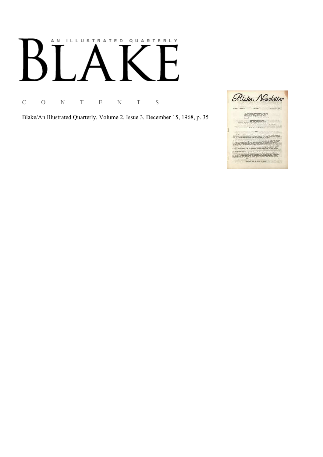## AN ILLUSTRATED QUARTERLY

C O N T E N T S

Blake/An Illustrated Quarterly, Volume 2, Issue 3, December 15, 1968, p. 35